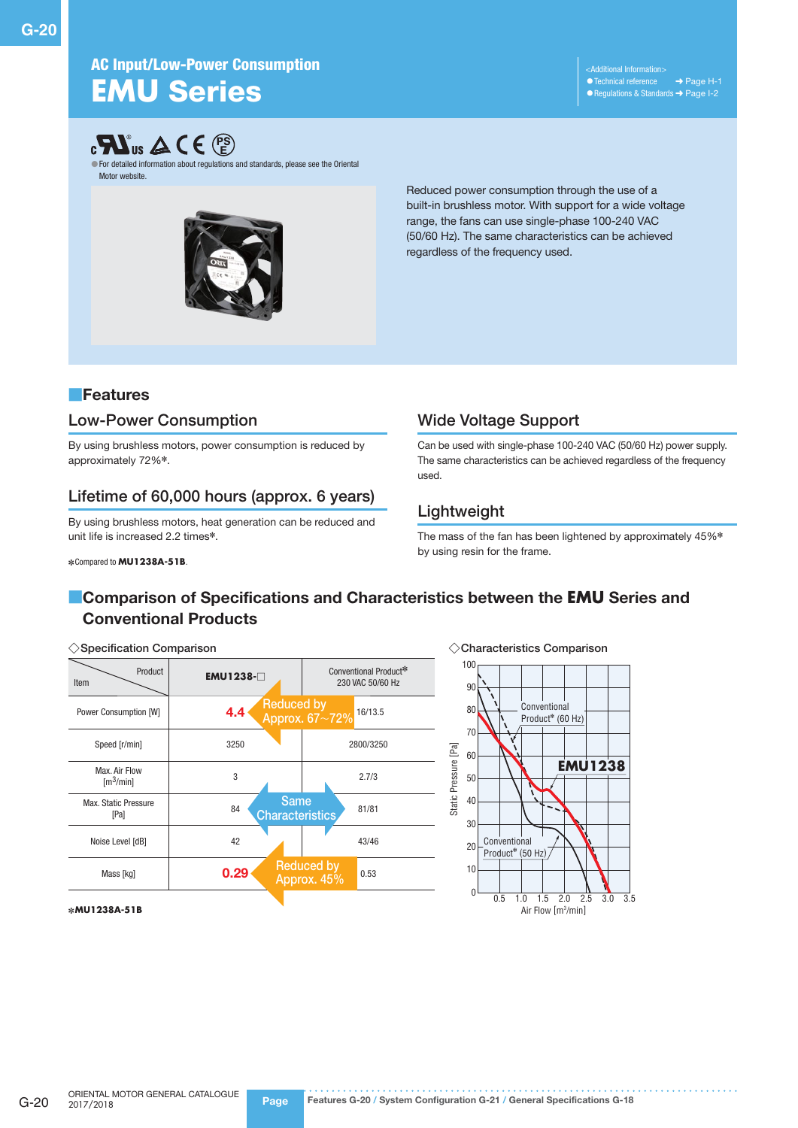## AC Input/Low-Power Consumption **EMU** Series

<Additional Information> •Technical reference ➜ Page H-1 ● Regulations & Standards → Page I-2



●For detailed information about regulations and standards, please see the Oriental Motor website.



Reduced power consumption through the use of a built-in brushless motor. With support for a wide voltage range, the fans can use single-phase 100-240 VAC (50/60 Hz). The same characteristics can be achieved regardless of the frequency used.

### ■Features

### Low-Power Consumption

By using brushless motors, power consumption is reduced by approximately 72%✽.

## Lifetime of 60,000 hours (approx. 6 years)

By using brushless motors, heat generation can be reduced and unit life is increased 2.2 times\*.

✽Compared to **MU1238A-51B**.

## Wide Voltage Support

Can be used with single-phase 100-240 VAC (50/60 Hz) power supply. The same characteristics can be achieved regardless of the frequency used.

### Lightweight

Static Pressure [Pa]

Static Pressure [Pa]

The mass of the fan has been lightened by approximately 45%✽ by using resin for the frame.

## **EComparison of Specifications and Characteristics between the EMU Series and** Conventional Products

### ◇Specification Comparison

| <b>EMU1238-</b> □                           | Conventional Product*<br>230 VAC 50/60 Hz |
|---------------------------------------------|-------------------------------------------|
| 4.4                                         | Reduced by<br>Approx. 67~72%<br>16/13.5   |
| 3250                                        | 2800/3250                                 |
| 3                                           | 2.7/3                                     |
| <b>Same</b><br>84<br><b>Characteristics</b> | 81/81                                     |
| 42                                          | 43/46                                     |
| 0.29                                        | <b>Reduced by</b><br>0.53<br>Approx. 45%  |
|                                             |                                           |

### ✽**MU1238A-51B**

10  $20$ 30 40 50 60 70 80  $90$ 100 **EMU1238** Conventional Product✽ (60 Hz) **Conventional**  $P_{\text{reduct}}$  (50 Hz)

 $0 \longrightarrow 0.5 \quad 1.0 \quad 1.5 \quad 2.0 \quad 2.5 \quad 3.0 \quad 3.5$ 

Air Flow [m3 /min]

◇Characteristics Comparison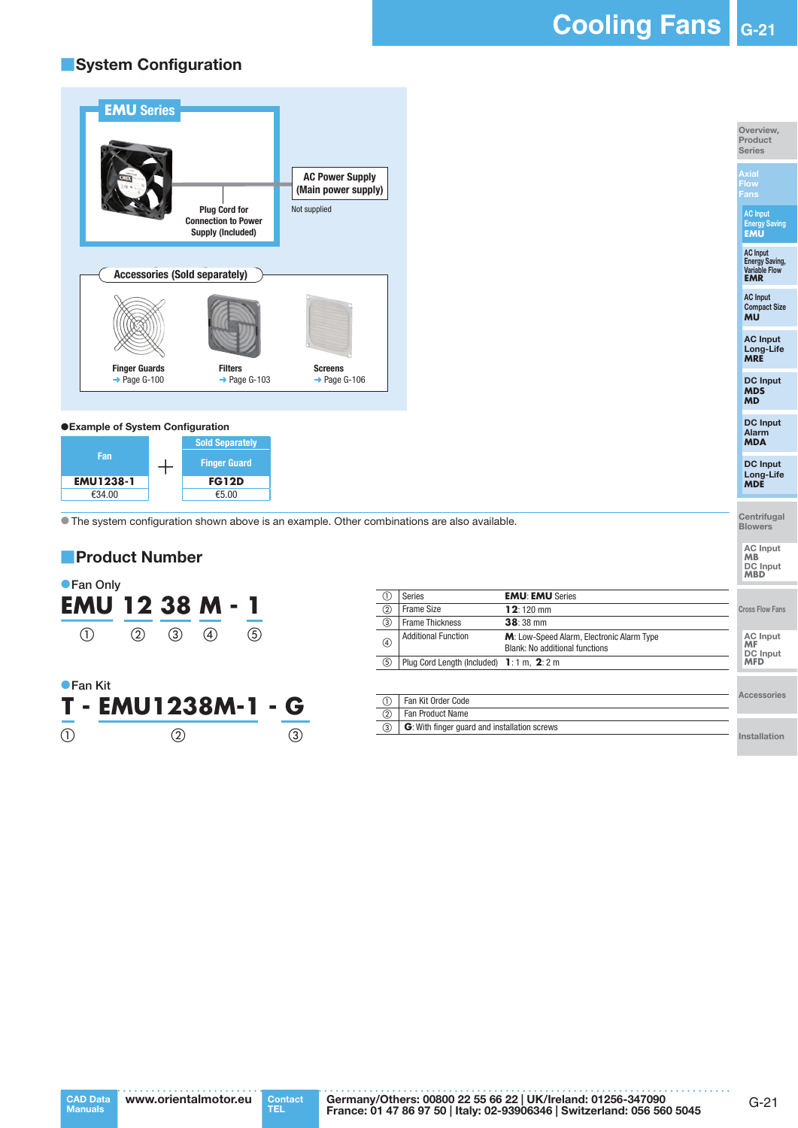**Cooling Fans G-21**

### ■System Configuration



### ●Example of System Configuration



● The system configuration shown above is an example. Other combinations are also available.



**T - EMU1238M-1 - G**  $\textcircled{1}$   $\textcircled{2}$   $\textcircled{3}$ 

| Œ   | Series                                     | <b>EMU: EMU Series</b>                                                      |                                   |
|-----|--------------------------------------------|-----------------------------------------------------------------------------|-----------------------------------|
| (2) | <b>Frame Size</b>                          | $12:120$ mm                                                                 | <b>Cross Flow Fans</b>            |
| 3   | <b>Frame Thickness</b>                     | $38:38 \text{ mm}$                                                          |                                   |
| 4   | <b>Additional Function</b>                 | M: Low-Speed Alarm, Electronic Alarm Type<br>Blank: No additional functions | AC Input<br><b>MF</b><br>DC Input |
| (5) | Plug Cord Length (Included) 1: 1 m, 2: 2 m |                                                                             | <b>MFD</b>                        |
|     |                                            |                                                                             |                                   |

|               | Fan Kit Order Code                           |
|---------------|----------------------------------------------|
| $\circled{2}$ | <b>Fan Product Name</b>                      |
| ③             | G: With finger guard and installation screws |

Installation

Accessories



Contact<br>TEL

Germany/Others: 00800 22 55 66 22 | UK/Ireland: 01256-347090 France: 01 47 86 97 50 | Italy: 02-93906346 | Switzerland: 056 560 5045

Overview, Product Series

Axial Flow Fans

AC Input Energy Saving **EMU**

AC Input Energy Saving, Variable Flow **EMR**

AC Input Compact Size **MU**

AC Input Long-Life **MRE**

DC Input **MDS MD**

DC Input Alarm **MDA**

DC Input Long-Life **MDE**

**Centrifugal Blowers** 

AC Input **MB** DC Input **MBD**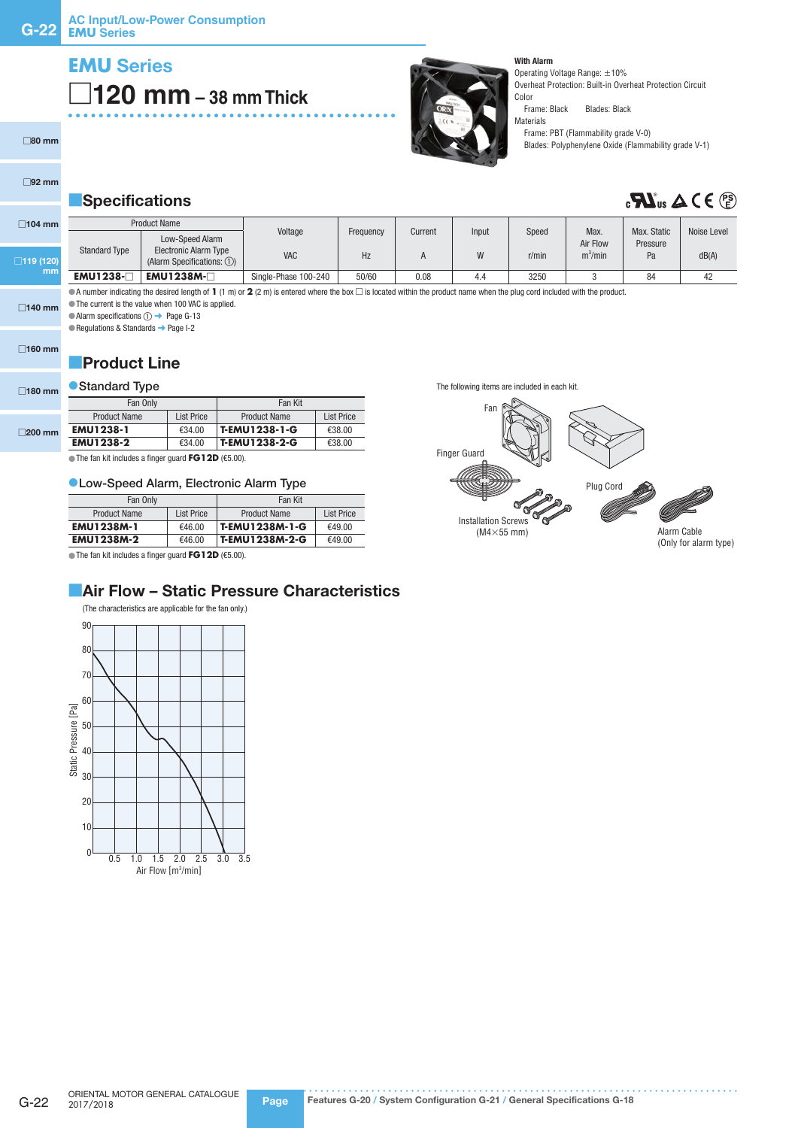# **EMU** Series □**120 mm – 38 mm Thick**

Materials

With Alarm

Operating Voltage Range: ±10% Overheat Protection: Built-in Overheat Protection Circuit Color<br>Frame: Black

Blades: Black

Frame: PBT (Flammability grade V-0) Blades: Polyphenylene Oxide (Flammability grade V-1)

### **Specifications**

# $\mathbf{M}_{\text{us}} \Delta C \in \mathbb{P}_{\text{in}}^{\text{sp}}$

| $\Box$ 104 mm    |                      | <b>Product Name</b>                                            | Voltage              | Frequency | Current | Input | Speed | Max.       | Max. Static | Noise Level |
|------------------|----------------------|----------------------------------------------------------------|----------------------|-----------|---------|-------|-------|------------|-------------|-------------|
|                  |                      | Low-Speed Alarm                                                |                      |           |         |       |       | Air Flow   | Pressure    |             |
| $\Box$ 119 (120) | <b>Standard Type</b> | <b>Electronic Alarm Type</b><br>(Alarm Specifications: $(1)$ ) | VAC                  | Hz        | n       |       | r/min | $m^3/m$ in | Pa          | dB(A)       |
| mm               | <b>EMU1238-</b>      | $EMU1238M-$                                                    | Single-Phase 100-240 | 50/60     | 0.08    | 4.4   | 3250  |            | 84          | 42          |

●A number indicating the desired length of 1 (1 m) or 2 (2 m) is entered where the box □ is located within the product name when the plug cord included with the product. ●The current is the value when 100 VAC is applied.

□140 mm ● Alarm specifications ① → Page G-13

● Regulations & Standards → Page I-2

□160 mm

□80 mm

□92 mm

### **Product Line**

### ● Standard Type

| $\Box$ 180 mm    | Standard Iype       |                   |                     |                   |  |
|------------------|---------------------|-------------------|---------------------|-------------------|--|
|                  | Fan Only            |                   | Fan Kit             |                   |  |
| $\square$ 200 mm | <b>Product Name</b> | <b>List Price</b> | <b>Product Name</b> | <b>List Price</b> |  |
|                  | <b>EMU1238-1</b>    | €34.00            | T-EMU1238-1-G       | €38.00            |  |
|                  | <b>EMU1238-2</b>    | €34.00            | T-EMU1238-2-G       | €38.00            |  |
|                  |                     |                   |                     |                   |  |

●The fan kit includes a finger guard **FG12D** (€5.00).

### ●Low-Speed Alarm, Electronic Alarm Type

| Fan Only                          |        | Fan Kit             |            |  |
|-----------------------------------|--------|---------------------|------------|--|
| <b>Product Name</b><br>List Price |        | <b>Product Name</b> | List Price |  |
| <b>EMU1238M-1</b>                 | €46.00 | T-EMU1238M-1-G      | €49.00     |  |
| <b>EMU1238M-2</b>                 | €46.00 | T-EMU1238M-2-G      | €49.00     |  |

●The fan kit includes a finger guard **FG12D** (€5.00).

### **Air Flow - Static Pressure Characteristics**

(The characteristics are applicable for the fan only.) 90 80 70 60 Static Pressure [Pa] Static Pressure [Pa] 50 40 30 20 10 0 0.5 1.0 1.5 2.0 2.5 3.0 3.5 Air Flow [m3/min]